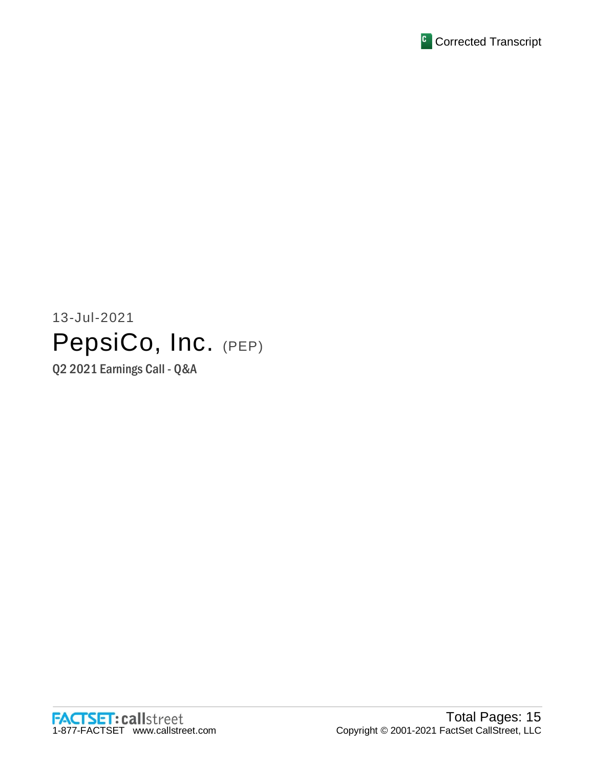

# 13-Jul-2021 PepsiCo, Inc. (PEP)

Q2 2021 Earnings Call - Q&A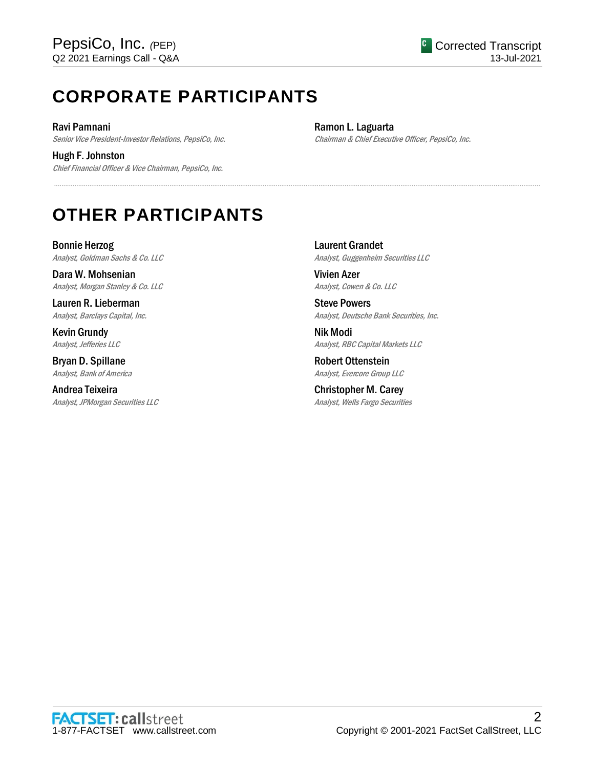## **CORPORATE PARTICIPANTS**

Ravi Pamnani Senior Vice President-Investor Relations, PepsiCo, Inc.

Hugh F. Johnston Chief Financial Officer & Vice Chairman, PepsiCo, Inc. Ramon L. Laguarta Chairman & Chief Executive Officer, PepsiCo, Inc.

## **OTHER PARTICIPANTS**

Bonnie Herzog Analyst, Goldman Sachs & Co. LLC

Dara W. Mohsenian Analyst, Morgan Stanley & Co. LLC

Lauren R. Lieberman Analyst, Barclays Capital, Inc.

Kevin Grundy Analyst, Jefferies LLC

Bryan D. Spillane Analyst, Bank of America

Andrea Teixeira Analyst, JPMorgan Securities LLC Laurent Grandet Analyst, Guggenheim Securities LLC

Vivien Azer Analyst, Cowen & Co. LLC

.....................................................................................................................................................................................................................................................................

Steve Powers Analyst, Deutsche Bank Securities, Inc.

Nik Modi Analyst, RBC Capital Markets LLC

Robert Ottenstein Analyst, Evercore Group LLC

Christopher M. Carey Analyst, Wells Fargo Securities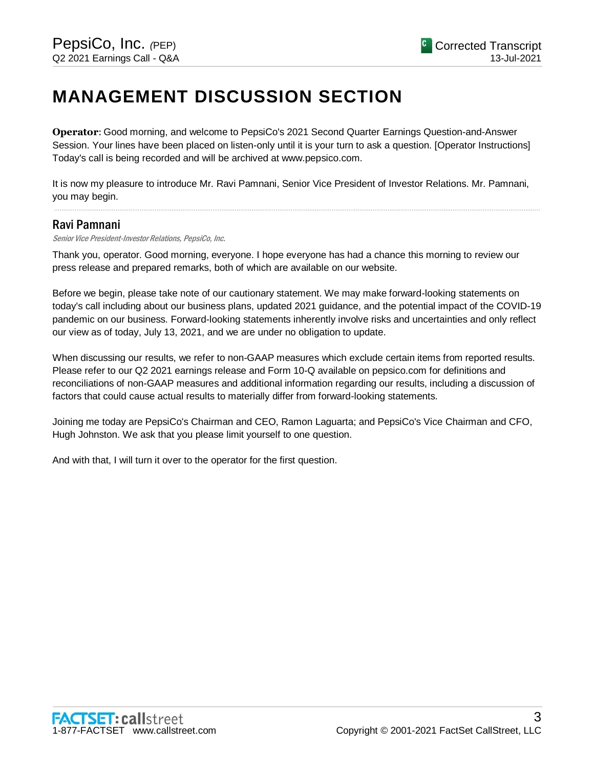## **MANAGEMENT DISCUSSION SECTION**

**Operator**: Good morning, and welcome to PepsiCo's 2021 Second Quarter Earnings Question-and-Answer Session. Your lines have been placed on listen-only until it is your turn to ask a question. [Operator Instructions] Today's call is being recorded and will be archived at www.pepsico.com.

It is now my pleasure to introduce Mr. Ravi Pamnani, Senior Vice President of Investor Relations. Mr. Pamnani, you may begin.

.....................................................................................................................................................................................................................................................................

#### Ravi Pamnani

Senior Vice President-Investor Relations, PepsiCo, Inc.

Thank you, operator. Good morning, everyone. I hope everyone has had a chance this morning to review our press release and prepared remarks, both of which are available on our website.

Before we begin, please take note of our cautionary statement. We may make forward-looking statements on today's call including about our business plans, updated 2021 guidance, and the potential impact of the COVID-19 pandemic on our business. Forward-looking statements inherently involve risks and uncertainties and only reflect our view as of today, July 13, 2021, and we are under no obligation to update.

When discussing our results, we refer to non-GAAP measures which exclude certain items from reported results. Please refer to our Q2 2021 earnings release and Form 10-Q available on pepsico.com for definitions and reconciliations of non-GAAP measures and additional information regarding our results, including a discussion of factors that could cause actual results to materially differ from forward-looking statements.

Joining me today are PepsiCo's Chairman and CEO, Ramon Laguarta; and PepsiCo's Vice Chairman and CFO, Hugh Johnston. We ask that you please limit yourself to one question.

And with that, I will turn it over to the operator for the first question.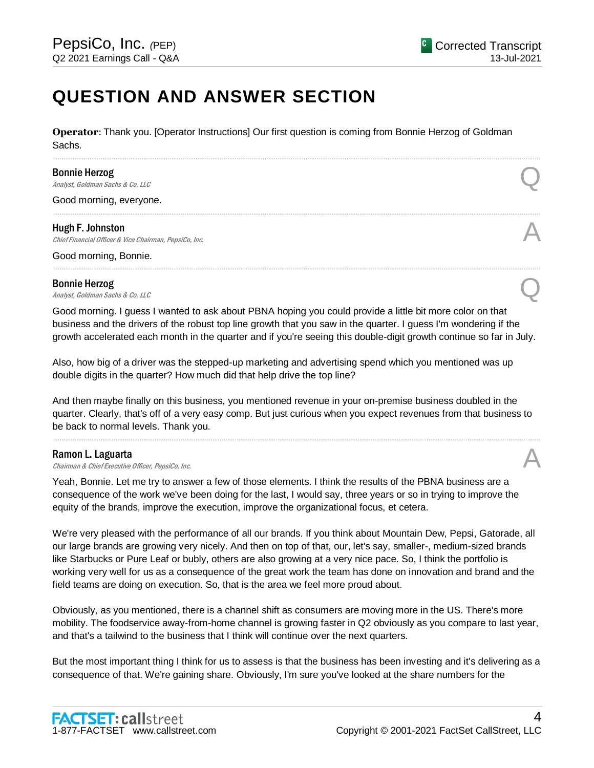## **QUESTION AND ANSWER SECTION**

**Operator**: Thank you. [Operator Instructions] Our first question is coming from Bonnie Herzog of Goldman Sachs.

.....................................................................................................................................................................................................................................................................

.....................................................................................................................................................................................................................................................................

.....................................................................................................................................................................................................................................................................

#### Bonnie Herzog

**Bonnie Herzog**<br>Analyst, Goldman Sachs & Co. LLC  $\mathcal{Q}$ 

Good morning, everyone.

#### Hugh F. Johnston

**Hugh F. Johnston**<br>Chief Financial Officer & Vice Chairman, PepsiCo, Inc.  $\mathcal{A}$ 

Good morning, Bonnie.

## Bonnie Herzog **Bonnie Herzog**<br>Analyst, Goldman Sachs & Co. LLC  $\bigotimes$

Good morning. I guess I wanted to ask about PBNA hoping you could provide a little bit more color on that business and the drivers of the robust top line growth that you saw in the quarter. I guess I'm wondering if the growth accelerated each month in the quarter and if you're seeing this double-digit growth continue so far in July.

Also, how big of a driver was the stepped-up marketing and advertising spend which you mentioned was up double digits in the quarter? How much did that help drive the top line?

And then maybe finally on this business, you mentioned revenue in your on-premise business doubled in the quarter. Clearly, that's off of a very easy comp. But just curious when you expect revenues from that business to be back to normal levels. Thank you.

.....................................................................................................................................................................................................................................................................

#### Ramon L. Laguarta

**Ramon L. Laguarta**<br>Chairman & Chief Executive Officer, PepsiCo, Inc.  $\mathcal{A}$ 

Yeah, Bonnie. Let me try to answer a few of those elements. I think the results of the PBNA business are a consequence of the work we've been doing for the last, I would say, three years or so in trying to improve the equity of the brands, improve the execution, improve the organizational focus, et cetera.

We're very pleased with the performance of all our brands. If you think about Mountain Dew, Pepsi, Gatorade, all our large brands are growing very nicely. And then on top of that, our, let's say, smaller-, medium-sized brands like Starbucks or Pure Leaf or bubly, others are also growing at a very nice pace. So, I think the portfolio is working very well for us as a consequence of the great work the team has done on innovation and brand and the field teams are doing on execution. So, that is the area we feel more proud about.

Obviously, as you mentioned, there is a channel shift as consumers are moving more in the US. There's more mobility. The foodservice away-from-home channel is growing faster in Q2 obviously as you compare to last year, and that's a tailwind to the business that I think will continue over the next quarters.

But the most important thing I think for us to assess is that the business has been investing and it's delivering as a consequence of that. We're gaining share. Obviously, I'm sure you've looked at the share numbers for the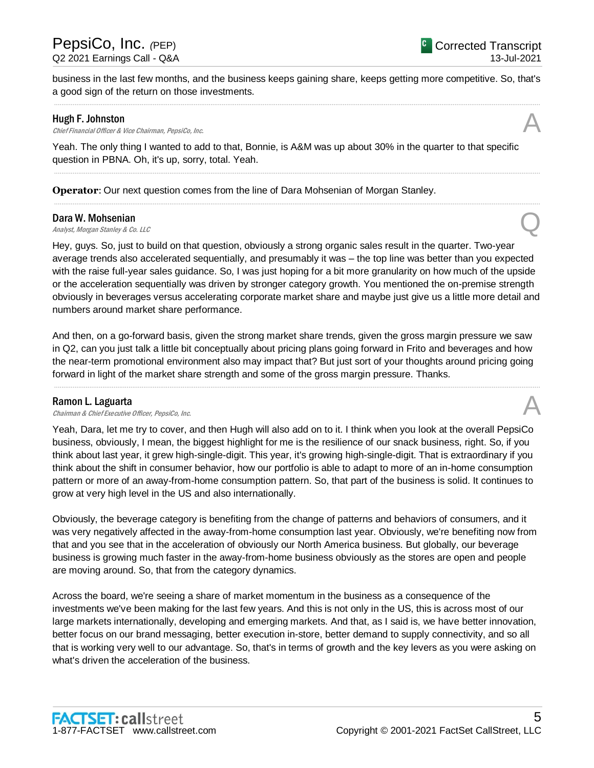business in the last few months, and the business keeps gaining share, keeps getting more competitive. So, that's a good sign of the return on those investments. .....................................................................................................................................................................................................................................................................

#### Hugh F. Johnston

**Hugh F. Johnston**<br>Chief Financial Officer & Vice Chairman, PepsiCo, Inc.  $\mathcal{A}$ 

Yeah. The only thing I wanted to add to that, Bonnie, is A&M was up about 30% in the quarter to that specific question in PBNA. Oh, it's up, sorry, total. Yeah.

.....................................................................................................................................................................................................................................................................

.....................................................................................................................................................................................................................................................................

**Operator**: Our next question comes from the line of Dara Mohsenian of Morgan Stanley.

#### Dara W. Mohsenian

**Dara W. Mohsenian**<br>Analyst, Morgan Stanley & Co. LLC Quarter of the Control of the Control of the Control of the Control of the Co

Hey, guys. So, just to build on that question, obviously a strong organic sales result in the quarter. Two-year average trends also accelerated sequentially, and presumably it was – the top line was better than you expected with the raise full-year sales guidance. So, I was just hoping for a bit more granularity on how much of the upside or the acceleration sequentially was driven by stronger category growth. You mentioned the on-premise strength obviously in beverages versus accelerating corporate market share and maybe just give us a little more detail and numbers around market share performance.

And then, on a go-forward basis, given the strong market share trends, given the gross margin pressure we saw in Q2, can you just talk a little bit conceptually about pricing plans going forward in Frito and beverages and how the near-term promotional environment also may impact that? But just sort of your thoughts around pricing going forward in light of the market share strength and some of the gross margin pressure. Thanks.

.....................................................................................................................................................................................................................................................................

#### Ramon L. Laguarta

**Ramon L. Laguarta**<br>Chairman & Chief Executive Officer, PepsiCo, Inc.  $\mathcal{A}$ 

Yeah, Dara, let me try to cover, and then Hugh will also add on to it. I think when you look at the overall PepsiCo business, obviously, I mean, the biggest highlight for me is the resilience of our snack business, right. So, if you think about last year, it grew high-single-digit. This year, it's growing high-single-digit. That is extraordinary if you think about the shift in consumer behavior, how our portfolio is able to adapt to more of an in-home consumption pattern or more of an away-from-home consumption pattern. So, that part of the business is solid. It continues to grow at very high level in the US and also internationally.

Obviously, the beverage category is benefiting from the change of patterns and behaviors of consumers, and it was very negatively affected in the away-from-home consumption last year. Obviously, we're benefiting now from that and you see that in the acceleration of obviously our North America business. But globally, our beverage business is growing much faster in the away-from-home business obviously as the stores are open and people are moving around. So, that from the category dynamics.

Across the board, we're seeing a share of market momentum in the business as a consequence of the investments we've been making for the last few years. And this is not only in the US, this is across most of our large markets internationally, developing and emerging markets. And that, as I said is, we have better innovation, better focus on our brand messaging, better execution in-store, better demand to supply connectivity, and so all that is working very well to our advantage. So, that's in terms of growth and the key levers as you were asking on what's driven the acceleration of the business.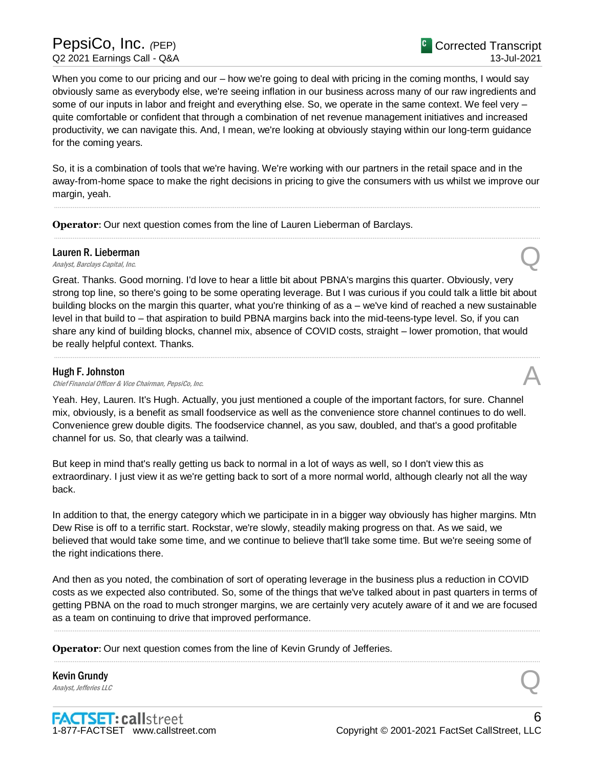When you come to our pricing and our – how we're going to deal with pricing in the coming months, I would say obviously same as everybody else, we're seeing inflation in our business across many of our raw ingredients and some of our inputs in labor and freight and everything else. So, we operate in the same context. We feel very – quite comfortable or confident that through a combination of net revenue management initiatives and increased productivity, we can navigate this. And, I mean, we're looking at obviously staying within our long-term guidance for the coming years.

So, it is a combination of tools that we're having. We're working with our partners in the retail space and in the away-from-home space to make the right decisions in pricing to give the consumers with us whilst we improve our margin, yeah.

.....................................................................................................................................................................................................................................................................

.....................................................................................................................................................................................................................................................................

**Operator**: Our next question comes from the line of Lauren Lieberman of Barclays.

## Lauren R. Lieberman **Lauren R. Lieberman**<br>
Analyst, Barclays Capital, Inc. Quarter and Containing the Containing of the Containing Containing the Containing Containing Containing Containing Containing Containing Containing Containing Contain

Great. Thanks. Good morning. I'd love to hear a little bit about PBNA's margins this quarter. Obviously, very strong top line, so there's going to be some operating leverage. But I was curious if you could talk a little bit about building blocks on the margin this quarter, what you're thinking of as a – we've kind of reached a new sustainable level in that build to – that aspiration to build PBNA margins back into the mid-teens-type level. So, if you can share any kind of building blocks, channel mix, absence of COVID costs, straight – lower promotion, that would be really helpful context. Thanks.

.....................................................................................................................................................................................................................................................................

#### Hugh F. Johnston

**Hugh F. Johnston**<br>Chief Financial Officer & Vice Chairman, PepsiCo, Inc.  $\mathcal{A}$ 

Yeah. Hey, Lauren. It's Hugh. Actually, you just mentioned a couple of the important factors, for sure. Channel mix, obviously, is a benefit as small foodservice as well as the convenience store channel continues to do well. Convenience grew double digits. The foodservice channel, as you saw, doubled, and that's a good profitable channel for us. So, that clearly was a tailwind.

But keep in mind that's really getting us back to normal in a lot of ways as well, so I don't view this as extraordinary. I just view it as we're getting back to sort of a more normal world, although clearly not all the way back.

In addition to that, the energy category which we participate in in a bigger way obviously has higher margins. Mtn Dew Rise is off to a terrific start. Rockstar, we're slowly, steadily making progress on that. As we said, we believed that would take some time, and we continue to believe that'll take some time. But we're seeing some of the right indications there.

And then as you noted, the combination of sort of operating leverage in the business plus a reduction in COVID costs as we expected also contributed. So, some of the things that we've talked about in past quarters in terms of getting PBNA on the road to much stronger margins, we are certainly very acutely aware of it and we are focused as a team on continuing to drive that improved performance.

.....................................................................................................................................................................................................................................................................

.....................................................................................................................................................................................................................................................................

**Operator:** Our next question comes from the line of Kevin Grundy of Jefferies.

Kevin Grundy **Kevin Grundy**<br>Analyst, Jefferies LLC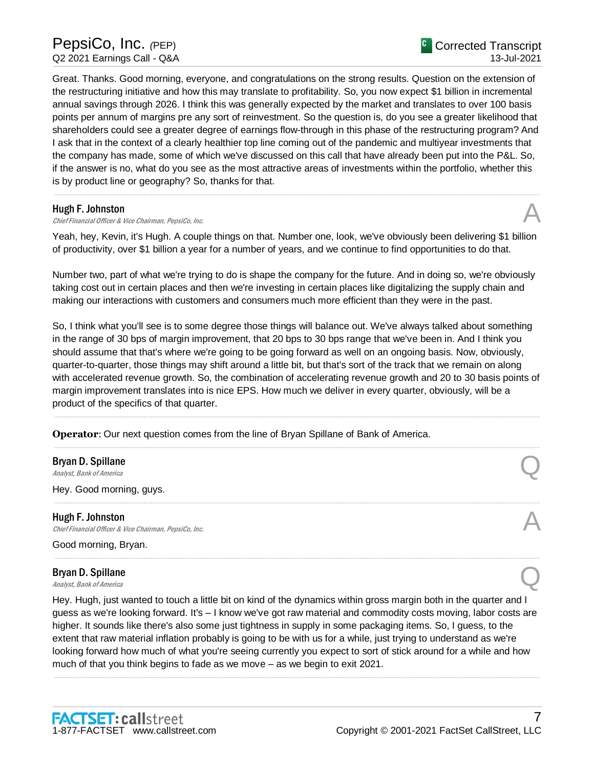Great. Thanks. Good morning, everyone, and congratulations on the strong results. Question on the extension of the restructuring initiative and how this may translate to profitability. So, you now expect \$1 billion in incremental annual savings through 2026. I think this was generally expected by the market and translates to over 100 basis points per annum of margins pre any sort of reinvestment. So the question is, do you see a greater likelihood that shareholders could see a greater degree of earnings flow-through in this phase of the restructuring program? And I ask that in the context of a clearly healthier top line coming out of the pandemic and multiyear investments that the company has made, some of which we've discussed on this call that have already been put into the P&L. So, if the answer is no, what do you see as the most attractive areas of investments within the portfolio, whether this is by product line or geography? So, thanks for that.

#### Hugh F. Johnston

**Hugh F. Johnston**<br>Chief Financial Officer & Vice Chairman, PepsiCo, Inc.  $\mathcal{A}$ 

Yeah, hey, Kevin, it's Hugh. A couple things on that. Number one, look, we've obviously been delivering \$1 billion of productivity, over \$1 billion a year for a number of years, and we continue to find opportunities to do that.

.....................................................................................................................................................................................................................................................................

Number two, part of what we're trying to do is shape the company for the future. And in doing so, we're obviously taking cost out in certain places and then we're investing in certain places like digitalizing the supply chain and making our interactions with customers and consumers much more efficient than they were in the past.

So, I think what you'll see is to some degree those things will balance out. We've always talked about something in the range of 30 bps of margin improvement, that 20 bps to 30 bps range that we've been in. And I think you should assume that that's where we're going to be going forward as well on an ongoing basis. Now, obviously, quarter-to-quarter, those things may shift around a little bit, but that's sort of the track that we remain on along with accelerated revenue growth. So, the combination of accelerating revenue growth and 20 to 30 basis points of margin improvement translates into is nice EPS. How much we deliver in every quarter, obviously, will be a product of the specifics of that quarter.

.....................................................................................................................................................................................................................................................................

.....................................................................................................................................................................................................................................................................

.....................................................................................................................................................................................................................................................................

.....................................................................................................................................................................................................................................................................

**Operator**: Our next question comes from the line of Bryan Spillane of Bank of America.

## Bryan D. Spillane **Bryan D. Spillane**<br>Analyst, Bank of America

Hey. Good morning, guys.

Hugh F. Johnston **Hugh F. Johnston**<br>Chief Financial Officer & Vice Chairman, PepsiCo, Inc.  $\mathcal{A}$ 

Good morning, Bryan.

## Bryan D. Spillane **Bryan D. Spillane**<br>Analyst, Bank of America

Hey. Hugh, just wanted to touch a little bit on kind of the dynamics within gross margin both in the quarter and I guess as we're looking forward. It's – I know we've got raw material and commodity costs moving, labor costs are higher. It sounds like there's also some just tightness in supply in some packaging items. So, I guess, to the extent that raw material inflation probably is going to be with us for a while, just trying to understand as we're looking forward how much of what you're seeing currently you expect to sort of stick around for a while and how much of that you think begins to fade as we move – as we begin to exit 2021.

.....................................................................................................................................................................................................................................................................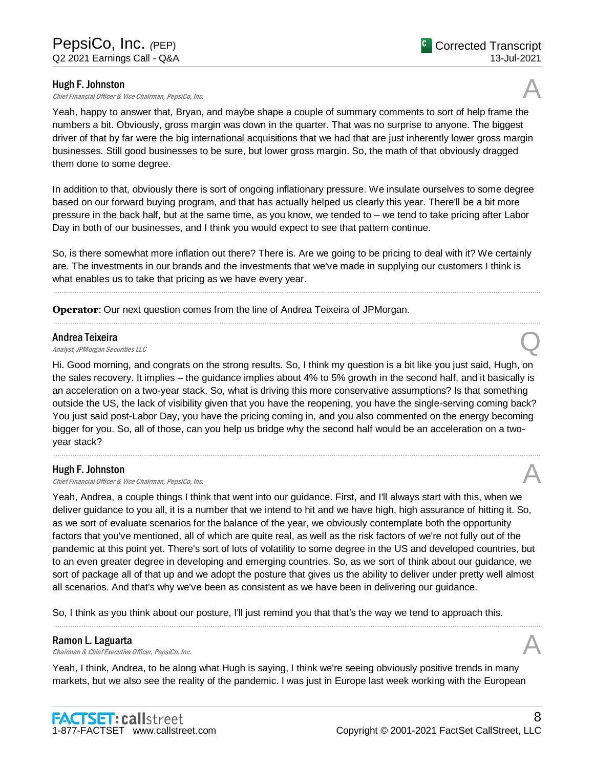#### Hugh F. Johnston

**Hugh F. Johnston**<br>Chief Financial Officer & Vice Chairman, PepsiCo, Inc.  $\mathcal{A}$ 

Yeah, happy to answer that, Bryan, and maybe shape a couple of summary comments to sort of help frame the numbers a bit. Obviously, gross margin was down in the quarter. That was no surprise to anyone. The biggest driver of that by far were the big international acquisitions that we had that are just inherently lower gross margin businesses. Still good businesses to be sure, but lower gross margin. So, the math of that obviously dragged them done to some degree.

In addition to that, obviously there is sort of ongoing inflationary pressure. We insulate ourselves to some degree based on our forward buying program, and that has actually helped us clearly this year. There'll be a bit more pressure in the back half, but at the same time, as you know, we tended to – we tend to take pricing after Labor Day in both of our businesses, and I think you would expect to see that pattern continue.

So, is there somewhat more inflation out there? There is. Are we going to be pricing to deal with it? We certainly are. The investments in our brands and the investments that we've made in supplying our customers I think is what enables us to take that pricing as we have every year.

.....................................................................................................................................................................................................................................................................

.....................................................................................................................................................................................................................................................................

**Operator**: Our next question comes from the line of Andrea Teixeira of JPMorgan.

#### Andrea Teixeira

**Andrea Teixeira**<br>Analyst, JPMorgan Securities LLC

Hi. Good morning, and congrats on the strong results. So, I think my question is a bit like you just said, Hugh, on the sales recovery. It implies – the guidance implies about 4% to 5% growth in the second half, and it basically is an acceleration on a two-year stack. So, what is driving this more conservative assumptions? Is that something outside the US, the lack of visibility given that you have the reopening, you have the single-serving coming back? You just said post-Labor Day, you have the pricing coming in, and you also commented on the energy becoming bigger for you. So, all of those, can you help us bridge why the second half would be an acceleration on a twoyear stack?

.....................................................................................................................................................................................................................................................................

#### Hugh F. Johnston

**Hugh F. Johnston**<br>Chief Financial Officer & Vice Chairman, PepsiCo, Inc.  $\mathcal{A}$ 

Yeah, Andrea, a couple things I think that went into our guidance. First, and I'll always start with this, when we deliver guidance to you all, it is a number that we intend to hit and we have high, high assurance of hitting it. So, as we sort of evaluate scenarios for the balance of the year, we obviously contemplate both the opportunity factors that you've mentioned, all of which are quite real, as well as the risk factors of we're not fully out of the pandemic at this point yet. There's sort of lots of volatility to some degree in the US and developed countries, but to an even greater degree in developing and emerging countries. So, as we sort of think about our guidance, we sort of package all of that up and we adopt the posture that gives us the ability to deliver under pretty well almost all scenarios. And that's why we've been as consistent as we have been in delivering our guidance.

So, I think as you think about our posture, I'll just remind you that that's the way we tend to approach this.

#### Ramon L. Laguarta

**Ramon L. Laguarta**<br>Chairman & Chief Executive Officer, PepsiCo, Inc.  $\mathcal{A}$ 

Yeah, I think, Andrea, to be along what Hugh is saying, I think we're seeing obviously positive trends in many markets, but we also see the reality of the pandemic. I was just in Europe last week working with the European

.....................................................................................................................................................................................................................................................................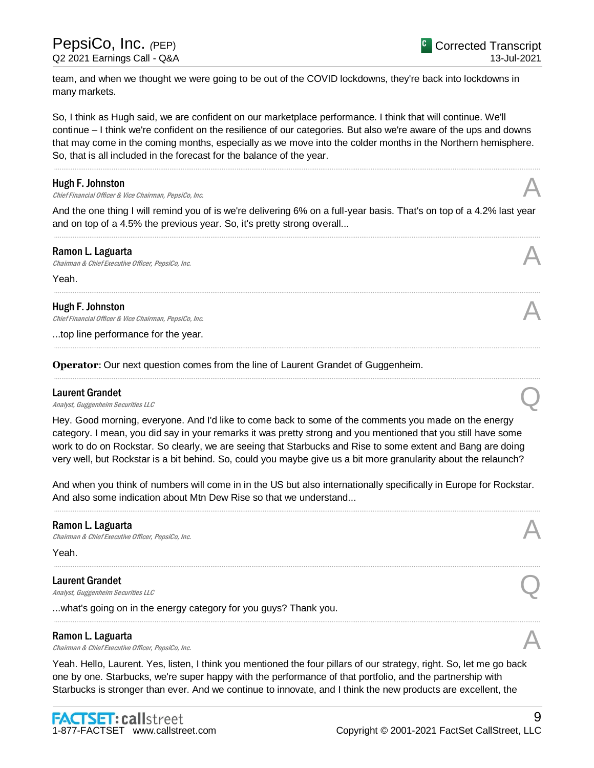team, and when we thought we were going to be out of the COVID lockdowns, they're back into lockdowns in many markets.

So, I think as Hugh said, we are confident on our marketplace performance. I think that will continue. We'll continue – I think we're confident on the resilience of our categories. But also we're aware of the ups and downs that may come in the coming months, especially as we move into the colder months in the Northern hemisphere. So, that is all included in the forecast for the balance of the year.

.....................................................................................................................................................................................................................................................................

#### Hugh F. Johnston

**Hugh F. Johnston**<br>Chief Financial Officer & Vice Chairman, PepsiCo, Inc.  $\mathcal{A}$ 

And the one thing I will remind you of is we're delivering 6% on a full-year basis. That's on top of a 4.2% last year and on top of a 4.5% the previous year. So, it's pretty strong overall... .....................................................................................................................................................................................................................................................................

.....................................................................................................................................................................................................................................................................

.....................................................................................................................................................................................................................................................................

.....................................................................................................................................................................................................................................................................

#### Ramon L. Laguarta

**Ramon L. Laguarta**<br>Chairman & Chief Executive Officer, PepsiCo, Inc.  $\mathcal{A}$ 

Yeah.

#### Hugh F. Johnston

Chief Financial Officer & Vice Chairman, PepsiCo, Inc.

...top line performance for the year.

**Operator**: Our next question comes from the line of Laurent Grandet of Guggenheim.

#### Laurent Grandet

**Laurent Grandet**<br>Analyst, Guggenheim Securities LLC

Hey. Good morning, everyone. And I'd like to come back to some of the comments you made on the energy category. I mean, you did say in your remarks it was pretty strong and you mentioned that you still have some work to do on Rockstar. So clearly, we are seeing that Starbucks and Rise to some extent and Bang are doing very well, but Rockstar is a bit behind. So, could you maybe give us a bit more granularity about the relaunch?

And when you think of numbers will come in in the US but also internationally specifically in Europe for Rockstar. And also some indication about Mtn Dew Rise so that we understand...

.....................................................................................................................................................................................................................................................................

.....................................................................................................................................................................................................................................................................

.....................................................................................................................................................................................................................................................................

#### Ramon L. Laguarta

**Ramon L. Laguarta**<br>Chairman & Chief Executive Officer, PepsiCo, Inc.  $\mathcal{A}$ 

Yeah.

#### Laurent Grandet

**Laurent Grandet**<br>Analyst, Guggenheim Securities LLC

...what's going on in the energy category for you guys? Thank you.

#### Ramon L. Laguarta

**Ramon L. Laguarta**<br>Chairman & Chief Executive Officer, PepsiCo, Inc.  $\mathcal{A}$ 

Yeah. Hello, Laurent. Yes, listen, I think you mentioned the four pillars of our strategy, right. So, let me go back one by one. Starbucks, we're super happy with the performance of that portfolio, and the partnership with Starbucks is stronger than ever. And we continue to innovate, and I think the new products are excellent, the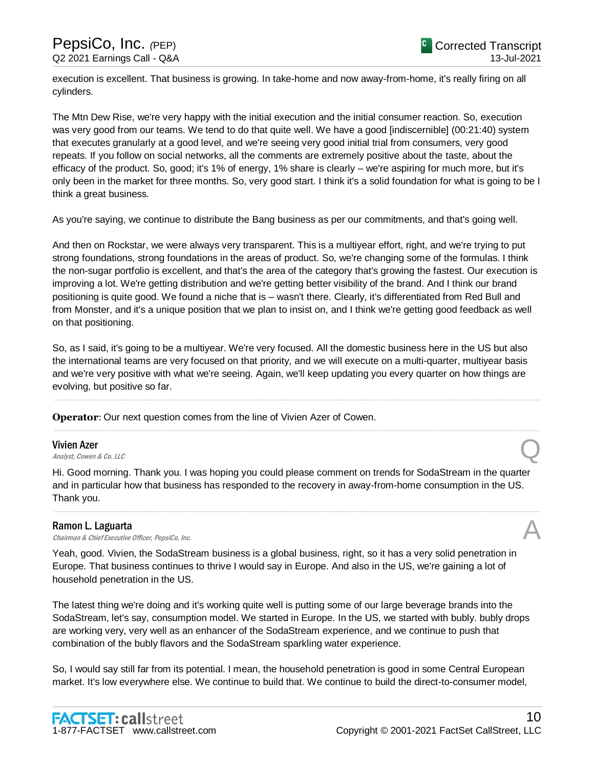execution is excellent. That business is growing. In take-home and now away-from-home, it's really firing on all cylinders.

The Mtn Dew Rise, we're very happy with the initial execution and the initial consumer reaction. So, execution was very good from our teams. We tend to do that quite well. We have a good [indiscernible] (00:21:40) system that executes granularly at a good level, and we're seeing very good initial trial from consumers, very good repeats. If you follow on social networks, all the comments are extremely positive about the taste, about the efficacy of the product. So, good; it's 1% of energy, 1% share is clearly – we're aspiring for much more, but it's only been in the market for three months. So, very good start. I think it's a solid foundation for what is going to be I think a great business.

As you're saying, we continue to distribute the Bang business as per our commitments, and that's going well.

And then on Rockstar, we were always very transparent. This is a multiyear effort, right, and we're trying to put strong foundations, strong foundations in the areas of product. So, we're changing some of the formulas. I think the non-sugar portfolio is excellent, and that's the area of the category that's growing the fastest. Our execution is improving a lot. We're getting distribution and we're getting better visibility of the brand. And I think our brand positioning is quite good. We found a niche that is – wasn't there. Clearly, it's differentiated from Red Bull and from Monster, and it's a unique position that we plan to insist on, and I think we're getting good feedback as well on that positioning.

So, as I said, it's going to be a multiyear. We're very focused. All the domestic business here in the US but also the international teams are very focused on that priority, and we will execute on a multi-quarter, multiyear basis and we're very positive with what we're seeing. Again, we'll keep updating you every quarter on how things are evolving, but positive so far.

.....................................................................................................................................................................................................................................................................

.....................................................................................................................................................................................................................................................................

**Operator**: Our next question comes from the line of Vivien Azer of Cowen.

#### Vivien Azer

**Vivien Azer**<br>Analyst, Cowen & Co. LLC

Hi. Good morning. Thank you. I was hoping you could please comment on trends for SodaStream in the quarter and in particular how that business has responded to the recovery in away-from-home consumption in the US. Thank you.

.....................................................................................................................................................................................................................................................................

#### Ramon L. Laguarta

**Ramon L. Laguarta**<br>Chairman & Chief Executive Officer, PepsiCo, Inc.  $\mathcal{A}$ 

Yeah, good. Vivien, the SodaStream business is a global business, right, so it has a very solid penetration in Europe. That business continues to thrive I would say in Europe. And also in the US, we're gaining a lot of household penetration in the US.

The latest thing we're doing and it's working quite well is putting some of our large beverage brands into the SodaStream, let's say, consumption model. We started in Europe. In the US, we started with bubly. bubly drops are working very, very well as an enhancer of the SodaStream experience, and we continue to push that combination of the bubly flavors and the SodaStream sparkling water experience.

So, I would say still far from its potential. I mean, the household penetration is good in some Central European market. It's low everywhere else. We continue to build that. We continue to build the direct-to-consumer model,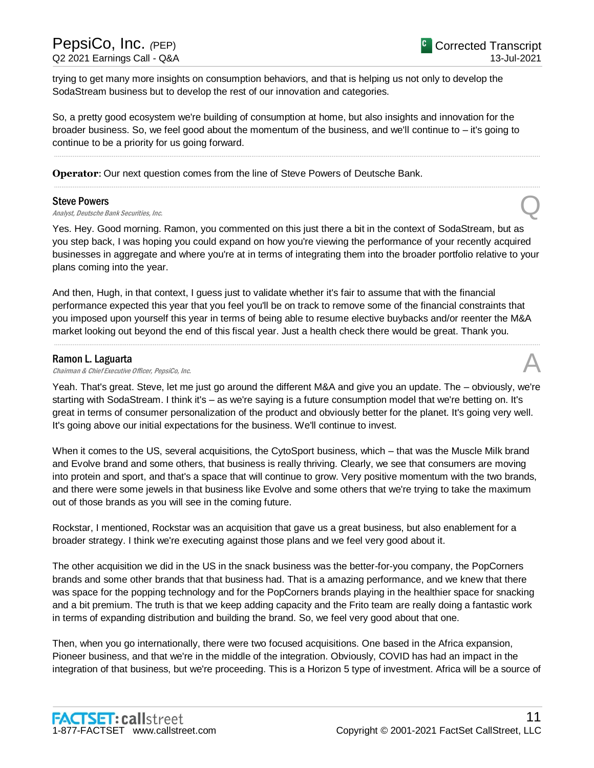trying to get many more insights on consumption behaviors, and that is helping us not only to develop the SodaStream business but to develop the rest of our innovation and categories.

So, a pretty good ecosystem we're building of consumption at home, but also insights and innovation for the broader business. So, we feel good about the momentum of the business, and we'll continue to – it's going to continue to be a priority for us going forward.

.....................................................................................................................................................................................................................................................................

.....................................................................................................................................................................................................................................................................

**Operator**: Our next question comes from the line of Steve Powers of Deutsche Bank.

#### Steve Powers

Steve Powers<br>Analyst, Deutsche Bank Securities, Inc.  $\mathbb Q$ 

Yes. Hey. Good morning. Ramon, you commented on this just there a bit in the context of SodaStream, but as you step back, I was hoping you could expand on how you're viewing the performance of your recently acquired businesses in aggregate and where you're at in terms of integrating them into the broader portfolio relative to your plans coming into the year.

And then, Hugh, in that context, I guess just to validate whether it's fair to assume that with the financial performance expected this year that you feel you'll be on track to remove some of the financial constraints that you imposed upon yourself this year in terms of being able to resume elective buybacks and/or reenter the M&A market looking out beyond the end of this fiscal year. Just a health check there would be great. Thank you.

.....................................................................................................................................................................................................................................................................

#### Ramon L. Laguarta

**Ramon L. Laguarta**<br>Chairman & Chief Executive Officer, PepsiCo, Inc.  $\mathcal{A}$ 

Yeah. That's great. Steve, let me just go around the different M&A and give you an update. The – obviously, we're starting with SodaStream. I think it's – as we're saying is a future consumption model that we're betting on. It's great in terms of consumer personalization of the product and obviously better for the planet. It's going very well. It's going above our initial expectations for the business. We'll continue to invest.

When it comes to the US, several acquisitions, the CytoSport business, which – that was the Muscle Milk brand and Evolve brand and some others, that business is really thriving. Clearly, we see that consumers are moving into protein and sport, and that's a space that will continue to grow. Very positive momentum with the two brands, and there were some jewels in that business like Evolve and some others that we're trying to take the maximum out of those brands as you will see in the coming future.

Rockstar, I mentioned, Rockstar was an acquisition that gave us a great business, but also enablement for a broader strategy. I think we're executing against those plans and we feel very good about it.

The other acquisition we did in the US in the snack business was the better-for-you company, the PopCorners brands and some other brands that that business had. That is a amazing performance, and we knew that there was space for the popping technology and for the PopCorners brands playing in the healthier space for snacking and a bit premium. The truth is that we keep adding capacity and the Frito team are really doing a fantastic work in terms of expanding distribution and building the brand. So, we feel very good about that one.

Then, when you go internationally, there were two focused acquisitions. One based in the Africa expansion, Pioneer business, and that we're in the middle of the integration. Obviously, COVID has had an impact in the integration of that business, but we're proceeding. This is a Horizon 5 type of investment. Africa will be a source of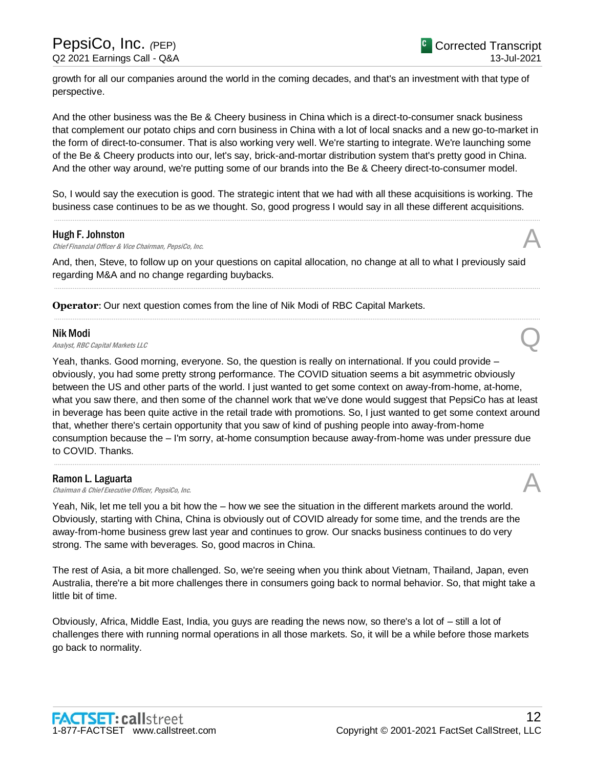growth for all our companies around the world in the coming decades, and that's an investment with that type of perspective.

And the other business was the Be & Cheery business in China which is a direct-to-consumer snack business that complement our potato chips and corn business in China with a lot of local snacks and a new go-to-market in the form of direct-to-consumer. That is also working very well. We're starting to integrate. We're launching some of the Be & Cheery products into our, let's say, brick-and-mortar distribution system that's pretty good in China. And the other way around, we're putting some of our brands into the Be & Cheery direct-to-consumer model.

So, I would say the execution is good. The strategic intent that we had with all these acquisitions is working. The business case continues to be as we thought. So, good progress I would say in all these different acquisitions.

.....................................................................................................................................................................................................................................................................

#### Hugh F. Johnston

**Hugh F. Johnston**<br>Chief Financial Officer & Vice Chairman, PepsiCo, Inc.  $\mathcal{A}$ 

And, then, Steve, to follow up on your questions on capital allocation, no change at all to what I previously said regarding M&A and no change regarding buybacks.

.....................................................................................................................................................................................................................................................................

.....................................................................................................................................................................................................................................................................

**Operator**: Our next question comes from the line of Nik Modi of RBC Capital Markets.

#### Nik Modi

**Nik Modi**<br>Analyst, RBC Capital Markets LLC

Yeah, thanks. Good morning, everyone. So, the question is really on international. If you could provide – obviously, you had some pretty strong performance. The COVID situation seems a bit asymmetric obviously between the US and other parts of the world. I just wanted to get some context on away-from-home, at-home, what you saw there, and then some of the channel work that we've done would suggest that PepsiCo has at least in beverage has been quite active in the retail trade with promotions. So, I just wanted to get some context around that, whether there's certain opportunity that you saw of kind of pushing people into away-from-home consumption because the – I'm sorry, at-home consumption because away-from-home was under pressure due to COVID. Thanks.

.....................................................................................................................................................................................................................................................................

#### Ramon L. Laguarta

**Ramon L. Laguarta**<br>Chairman & Chief Executive Officer, PepsiCo, Inc.  $\mathcal{A}$ 

Yeah, Nik, let me tell you a bit how the – how we see the situation in the different markets around the world. Obviously, starting with China, China is obviously out of COVID already for some time, and the trends are the away-from-home business grew last year and continues to grow. Our snacks business continues to do very strong. The same with beverages. So, good macros in China.

The rest of Asia, a bit more challenged. So, we're seeing when you think about Vietnam, Thailand, Japan, even Australia, there're a bit more challenges there in consumers going back to normal behavior. So, that might take a little bit of time.

Obviously, Africa, Middle East, India, you guys are reading the news now, so there's a lot of – still a lot of challenges there with running normal operations in all those markets. So, it will be a while before those markets go back to normality.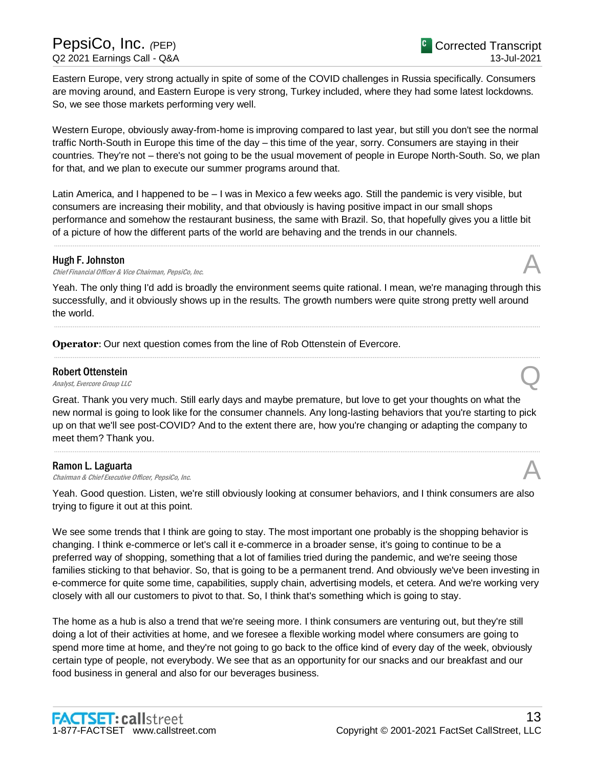Eastern Europe, very strong actually in spite of some of the COVID challenges in Russia specifically. Consumers are moving around, and Eastern Europe is very strong, Turkey included, where they had some latest lockdowns. So, we see those markets performing very well.

Western Europe, obviously away-from-home is improving compared to last year, but still you don't see the normal traffic North-South in Europe this time of the day – this time of the year, sorry. Consumers are staying in their countries. They're not – there's not going to be the usual movement of people in Europe North-South. So, we plan for that, and we plan to execute our summer programs around that.

Latin America, and I happened to be – I was in Mexico a few weeks ago. Still the pandemic is very visible, but consumers are increasing their mobility, and that obviously is having positive impact in our small shops performance and somehow the restaurant business, the same with Brazil. So, that hopefully gives you a little bit of a picture of how the different parts of the world are behaving and the trends in our channels.

.....................................................................................................................................................................................................................................................................

#### Hugh F. Johnston

**Hugh F. Johnston**<br>Chief Financial Officer & Vice Chairman, PepsiCo, Inc.  $\mathcal{A}$ 

Yeah. The only thing I'd add is broadly the environment seems quite rational. I mean, we're managing through this successfully, and it obviously shows up in the results. The growth numbers were quite strong pretty well around the world.

.....................................................................................................................................................................................................................................................................

.....................................................................................................................................................................................................................................................................

**Operator**: Our next question comes from the line of Rob Ottenstein of Evercore.

## Robert Ottenstein **Robert Ottenstein**<br>Analyst, Evercore Group LLC

Great. Thank you very much. Still early days and maybe premature, but love to get your thoughts on what the new normal is going to look like for the consumer channels. Any long-lasting behaviors that you're starting to pick up on that we'll see post-COVID? And to the extent there are, how you're changing or adapting the company to meet them? Thank you.

.....................................................................................................................................................................................................................................................................

#### Ramon L. Laguarta

**Ramon L. Laguarta**<br>Chairman & Chief Executive Officer, PepsiCo, Inc.  $\mathcal{A}$ 

Yeah. Good question. Listen, we're still obviously looking at consumer behaviors, and I think consumers are also trying to figure it out at this point.

We see some trends that I think are going to stay. The most important one probably is the shopping behavior is changing. I think e-commerce or let's call it e-commerce in a broader sense, it's going to continue to be a preferred way of shopping, something that a lot of families tried during the pandemic, and we're seeing those families sticking to that behavior. So, that is going to be a permanent trend. And obviously we've been investing in e-commerce for quite some time, capabilities, supply chain, advertising models, et cetera. And we're working very closely with all our customers to pivot to that. So, I think that's something which is going to stay.

The home as a hub is also a trend that we're seeing more. I think consumers are venturing out, but they're still doing a lot of their activities at home, and we foresee a flexible working model where consumers are going to spend more time at home, and they're not going to go back to the office kind of every day of the week, obviously certain type of people, not everybody. We see that as an opportunity for our snacks and our breakfast and our food business in general and also for our beverages business.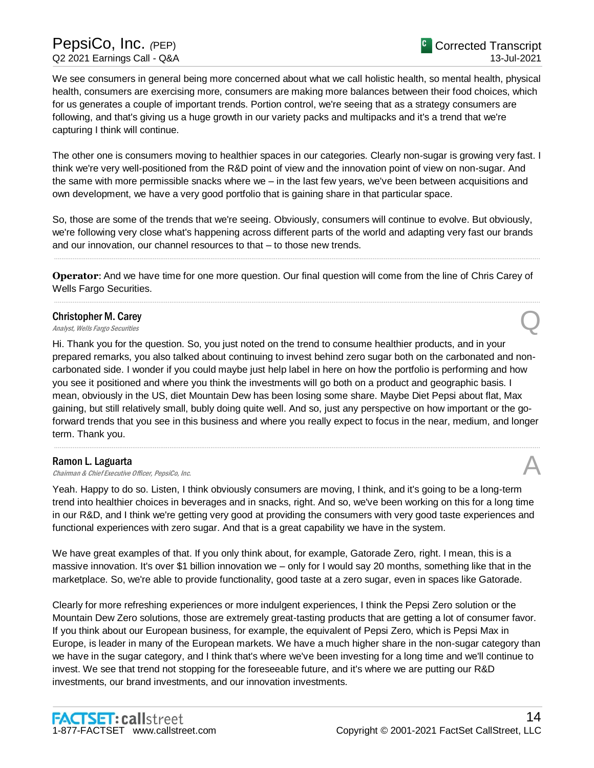We see consumers in general being more concerned about what we call holistic health, so mental health, physical health, consumers are exercising more, consumers are making more balances between their food choices, which for us generates a couple of important trends. Portion control, we're seeing that as a strategy consumers are following, and that's giving us a huge growth in our variety packs and multipacks and it's a trend that we're capturing I think will continue.

The other one is consumers moving to healthier spaces in our categories. Clearly non-sugar is growing very fast. I think we're very well-positioned from the R&D point of view and the innovation point of view on non-sugar. And the same with more permissible snacks where we – in the last few years, we've been between acquisitions and own development, we have a very good portfolio that is gaining share in that particular space.

So, those are some of the trends that we're seeing. Obviously, consumers will continue to evolve. But obviously, we're following very close what's happening across different parts of the world and adapting very fast our brands and our innovation, our channel resources to that – to those new trends.

**Operator**: And we have time for one more question. Our final question will come from the line of Chris Carey of Wells Fargo Securities. .....................................................................................................................................................................................................................................................................

.....................................................................................................................................................................................................................................................................

## Christopher M. Carey **Christopher M. Carey**<br>Analyst, Wells Fargo Securities

Hi. Thank you for the question. So, you just noted on the trend to consume healthier products, and in your prepared remarks, you also talked about continuing to invest behind zero sugar both on the carbonated and noncarbonated side. I wonder if you could maybe just help label in here on how the portfolio is performing and how you see it positioned and where you think the investments will go both on a product and geographic basis. I mean, obviously in the US, diet Mountain Dew has been losing some share. Maybe Diet Pepsi about flat, Max gaining, but still relatively small, bubly doing quite well. And so, just any perspective on how important or the goforward trends that you see in this business and where you really expect to focus in the near, medium, and longer term. Thank you.

.....................................................................................................................................................................................................................................................................

#### Ramon L. Laguarta

**Ramon L. Laguarta**<br>Chairman & Chief Executive Officer, PepsiCo, Inc.  $\mathcal{A}$ 

Yeah. Happy to do so. Listen, I think obviously consumers are moving, I think, and it's going to be a long-term trend into healthier choices in beverages and in snacks, right. And so, we've been working on this for a long time in our R&D, and I think we're getting very good at providing the consumers with very good taste experiences and functional experiences with zero sugar. And that is a great capability we have in the system.

We have great examples of that. If you only think about, for example, Gatorade Zero, right. I mean, this is a massive innovation. It's over \$1 billion innovation we – only for I would say 20 months, something like that in the marketplace. So, we're able to provide functionality, good taste at a zero sugar, even in spaces like Gatorade.

Clearly for more refreshing experiences or more indulgent experiences, I think the Pepsi Zero solution or the Mountain Dew Zero solutions, those are extremely great-tasting products that are getting a lot of consumer favor. If you think about our European business, for example, the equivalent of Pepsi Zero, which is Pepsi Max in Europe, is leader in many of the European markets. We have a much higher share in the non-sugar category than we have in the sugar category, and I think that's where we've been investing for a long time and we'll continue to invest. We see that trend not stopping for the foreseeable future, and it's where we are putting our R&D investments, our brand investments, and our innovation investments.